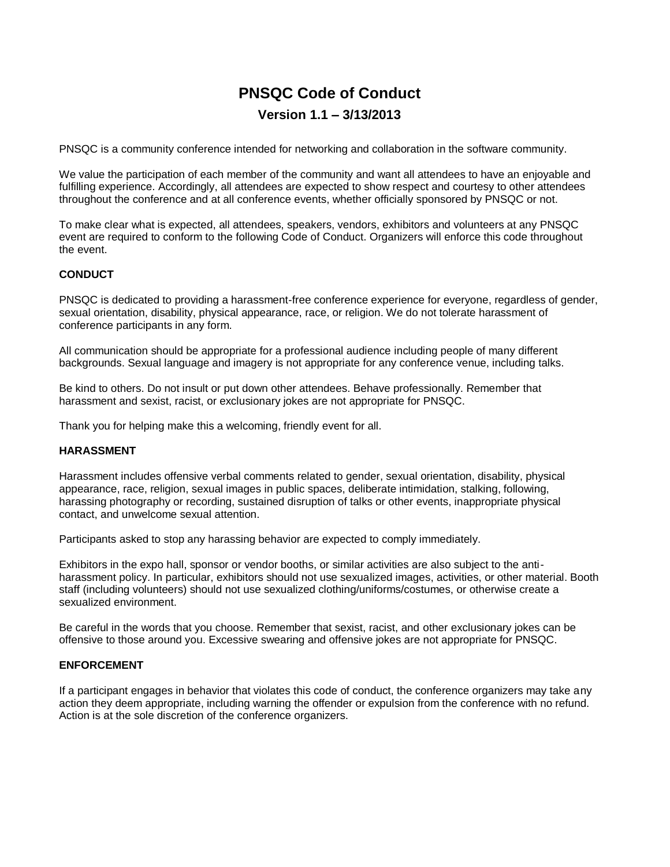# **PNSQC Code of Conduct Version 1.1 – 3/13/2013**

PNSQC is a community conference intended for networking and collaboration in the software community.

We value the participation of each member of the community and want all attendees to have an enjoyable and fulfilling experience. Accordingly, all attendees are expected to show respect and courtesy to other attendees throughout the conference and at all conference events, whether officially sponsored by PNSQC or not.

To make clear what is expected, all attendees, speakers, vendors, exhibitors and volunteers at any PNSQC event are required to conform to the following Code of Conduct. Organizers will enforce this code throughout the event.

#### **CONDUCT**

PNSQC is dedicated to providing a harassment-free conference experience for everyone, regardless of gender, sexual orientation, disability, physical appearance, race, or religion. We do not tolerate harassment of conference participants in any form.

All communication should be appropriate for a professional audience including people of many different backgrounds. Sexual language and imagery is not appropriate for any conference venue, including talks.

Be kind to others. Do not insult or put down other attendees. Behave professionally. Remember that harassment and sexist, racist, or exclusionary jokes are not appropriate for PNSQC.

Thank you for helping make this a welcoming, friendly event for all.

### **HARASSMENT**

Harassment includes offensive verbal comments related to gender, sexual orientation, disability, physical appearance, race, religion, sexual images in public spaces, deliberate intimidation, stalking, following, harassing photography or recording, sustained disruption of talks or other events, inappropriate physical contact, and unwelcome sexual attention.

Participants asked to stop any harassing behavior are expected to comply immediately.

Exhibitors in the expo hall, sponsor or vendor booths, or similar activities are also subject to the antiharassment policy. In particular, exhibitors should not use sexualized images, activities, or other material. Booth staff (including volunteers) should not use sexualized clothing/uniforms/costumes, or otherwise create a sexualized environment.

Be careful in the words that you choose. Remember that sexist, racist, and other exclusionary jokes can be offensive to those around you. Excessive swearing and offensive jokes are not appropriate for PNSQC.

#### **ENFORCEMENT**

If a participant engages in behavior that violates this code of conduct, the conference organizers may take any action they deem appropriate, including warning the offender or expulsion from the conference with no refund. Action is at the sole discretion of the conference organizers.